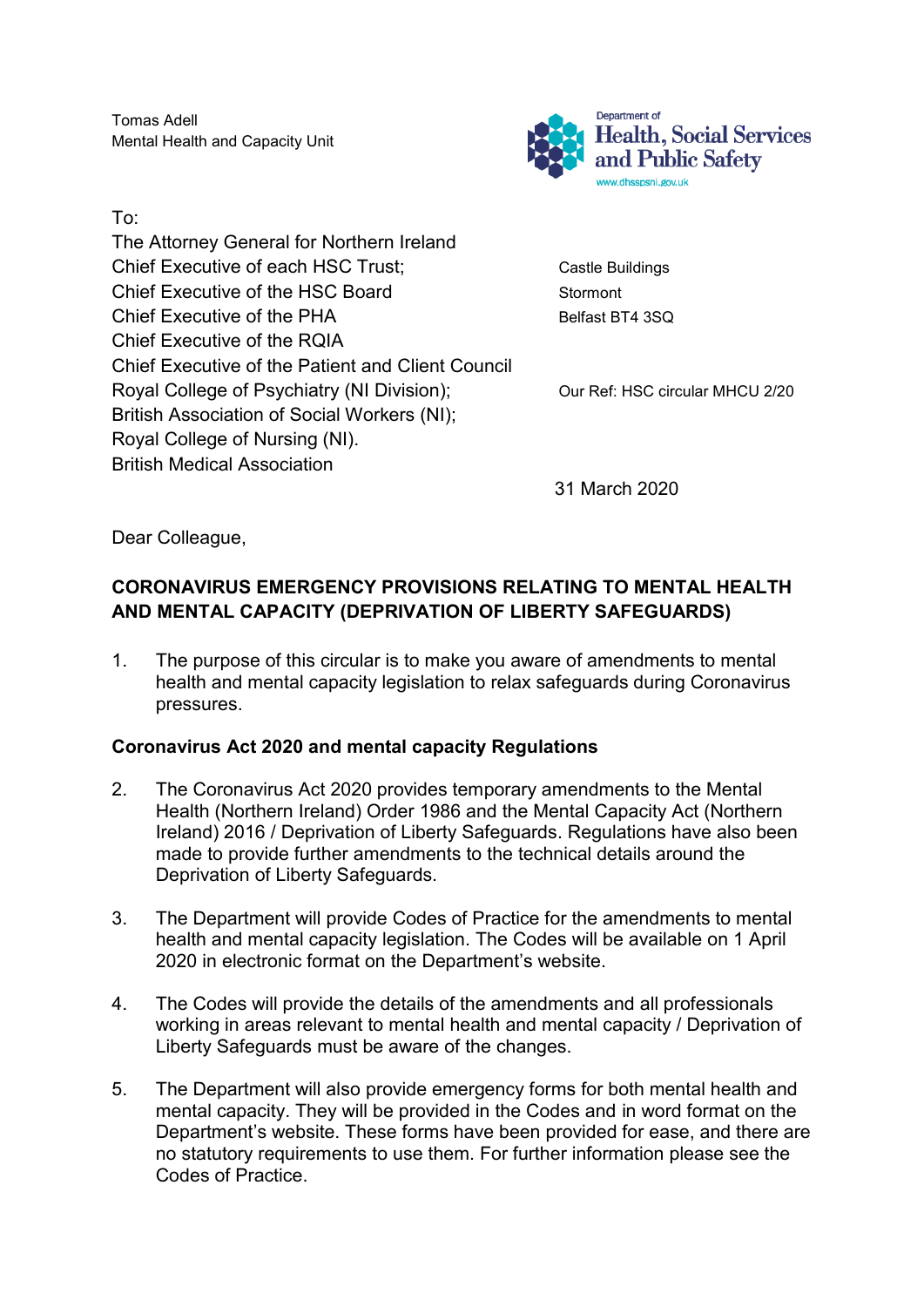Tomas Adell Mental Health and Capacity Unit

To: The Attorney General for Northern Ireland Chief Executive of each HSC Trust; Chief Executive of each HSC Trust; Chief Executive of the HSC Board Stormont Chief Executive of the PHA Belfast BT4 3SQ Chief Executive of the RQIA Chief Executive of the Patient and Client Council Royal College of Psychiatry (NI Division); Our Ref: HSC circular MHCU 2/20 British Association of Social Workers (NI); Royal College of Nursing (NI). British Medical Association



31 March 2020

Dear Colleague,

### **CORONAVIRUS EMERGENCY PROVISIONS RELATING TO MENTAL HEALTH AND MENTAL CAPACITY (DEPRIVATION OF LIBERTY SAFEGUARDS)**

1. The purpose of this circular is to make you aware of amendments to mental health and mental capacity legislation to relax safeguards during Coronavirus pressures.

#### **Coronavirus Act 2020 and mental capacity Regulations**

- 2. The Coronavirus Act 2020 provides temporary amendments to the Mental Health (Northern Ireland) Order 1986 and the Mental Capacity Act (Northern Ireland) 2016 / Deprivation of Liberty Safeguards. Regulations have also been made to provide further amendments to the technical details around the Deprivation of Liberty Safeguards.
- 3. The Department will provide Codes of Practice for the amendments to mental health and mental capacity legislation. The Codes will be available on 1 April 2020 in electronic format on the Department's website.
- 4. The Codes will provide the details of the amendments and all professionals working in areas relevant to mental health and mental capacity / Deprivation of Liberty Safeguards must be aware of the changes.
- 5. The Department will also provide emergency forms for both mental health and mental capacity. They will be provided in the Codes and in word format on the Department's website. These forms have been provided for ease, and there are no statutory requirements to use them. For further information please see the Codes of Practice.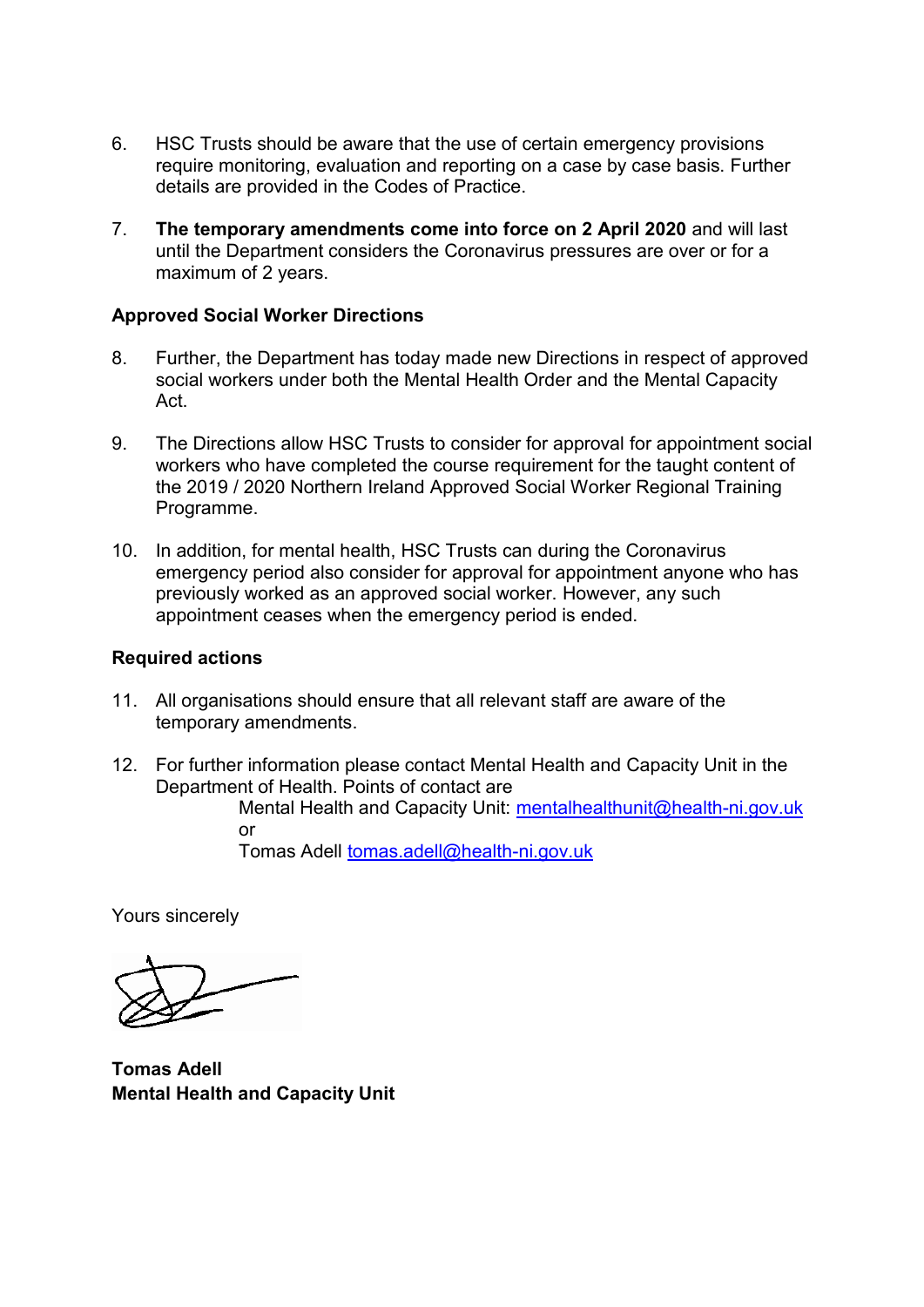- 6. HSC Trusts should be aware that the use of certain emergency provisions require monitoring, evaluation and reporting on a case by case basis. Further details are provided in the Codes of Practice.
- 7. **The temporary amendments come into force on 2 April 2020** and will last until the Department considers the Coronavirus pressures are over or for a maximum of 2 years.

#### **Approved Social Worker Directions**

- 8. Further, the Department has today made new Directions in respect of approved social workers under both the Mental Health Order and the Mental Capacity Act.
- 9. The Directions allow HSC Trusts to consider for approval for appointment social workers who have completed the course requirement for the taught content of the 2019 / 2020 Northern Ireland Approved Social Worker Regional Training Programme.
- 10. In addition, for mental health, HSC Trusts can during the Coronavirus emergency period also consider for approval for appointment anyone who has previously worked as an approved social worker. However, any such appointment ceases when the emergency period is ended.

#### **Required actions**

- 11. All organisations should ensure that all relevant staff are aware of the temporary amendments.
- 12. For further information please contact Mental Health and Capacity Unit in the Department of Health. Points of contact are

Mental Health and Capacity Unit: [mentalhealthunit@health-ni.gov.uk](mailto:mentalhealthunit@health-ni.gov.uk) or

Tomas Adell [tomas.adell@health-ni.gov.uk](mailto:tomas.adell@health-ni.gov.uk)

Yours sincerely

**Tomas Adell Mental Health and Capacity Unit**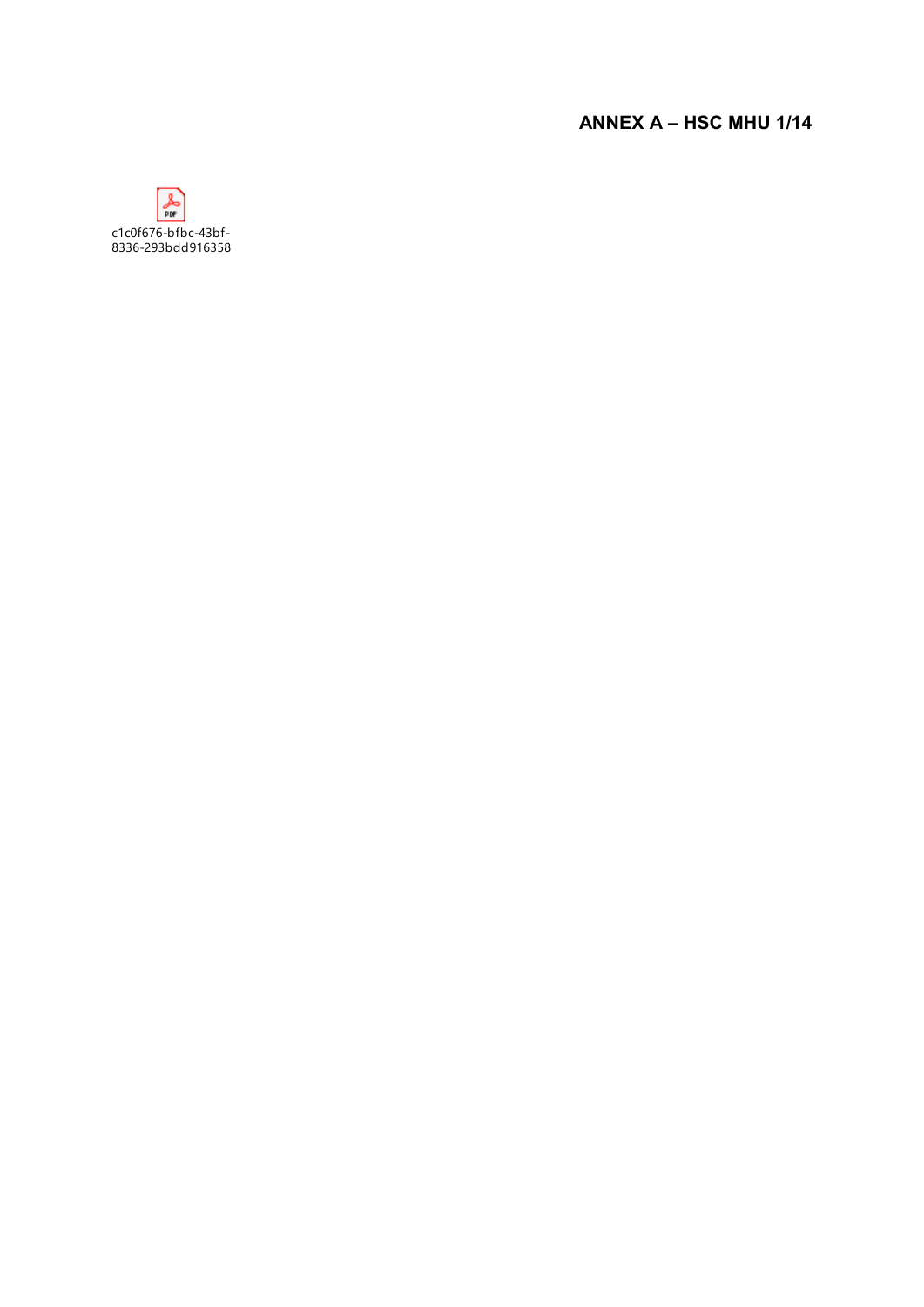# **ANNEX A – HSC MHU 1/14**

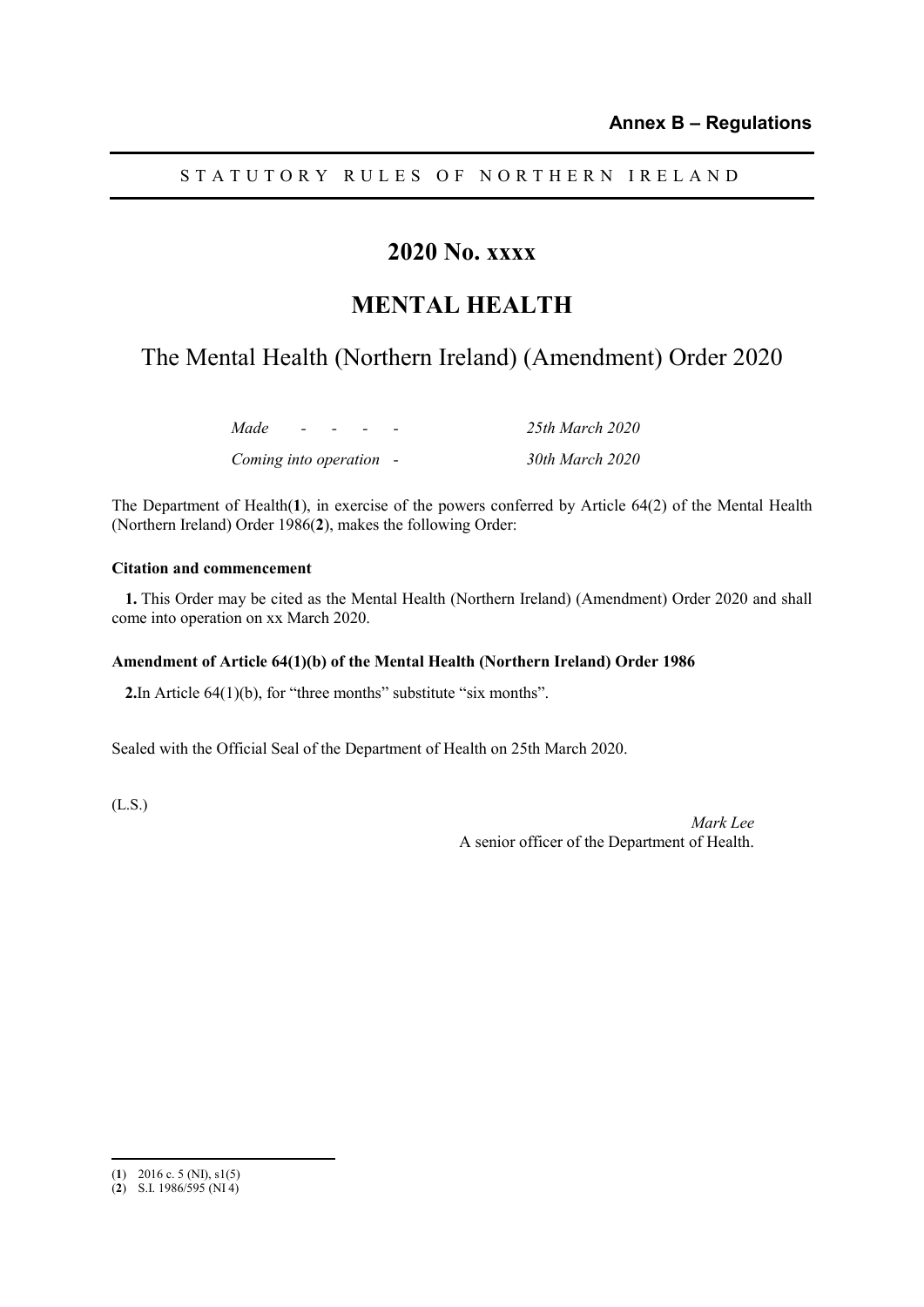STATUTORY RULES OF NORTHERN IRELAND

# **2020 No. xxxx**

### **MENTAL HEALTH**

# The Mental Health (Northern Ireland) (Amendment) Order 2020

| Made                    | $\overline{\phantom{0}}$ |  | 25th March 2020 |
|-------------------------|--------------------------|--|-----------------|
| Coming into operation - |                          |  | 30th March 2020 |

The Department of Health(**1**), in exercise of the powers conferred by Article 64(2) of the Mental Health (Northern Ireland) Order 1986(**2**), makes the following Order:

#### **Citation and commencement**

**1.** This Order may be cited as the Mental Health (Northern Ireland) (Amendment) Order 2020 and shall come into operation on xx March 2020.

#### **Amendment of Article 64(1)(b) of the Mental Health (Northern Ireland) Order 1986**

**2.**In Article 64(1)(b), for "three months" substitute "six months".

Sealed with the Official Seal of the Department of Health on 25th March 2020.

(L.S.)

*Mark Lee* A senior officer of the Department of Health.

 $\overline{a}$ 

<sup>(</sup>**1**) 2016 c. 5 (NI), s1(5)

<sup>(</sup>**2**) S.I. 1986/595 (NI 4)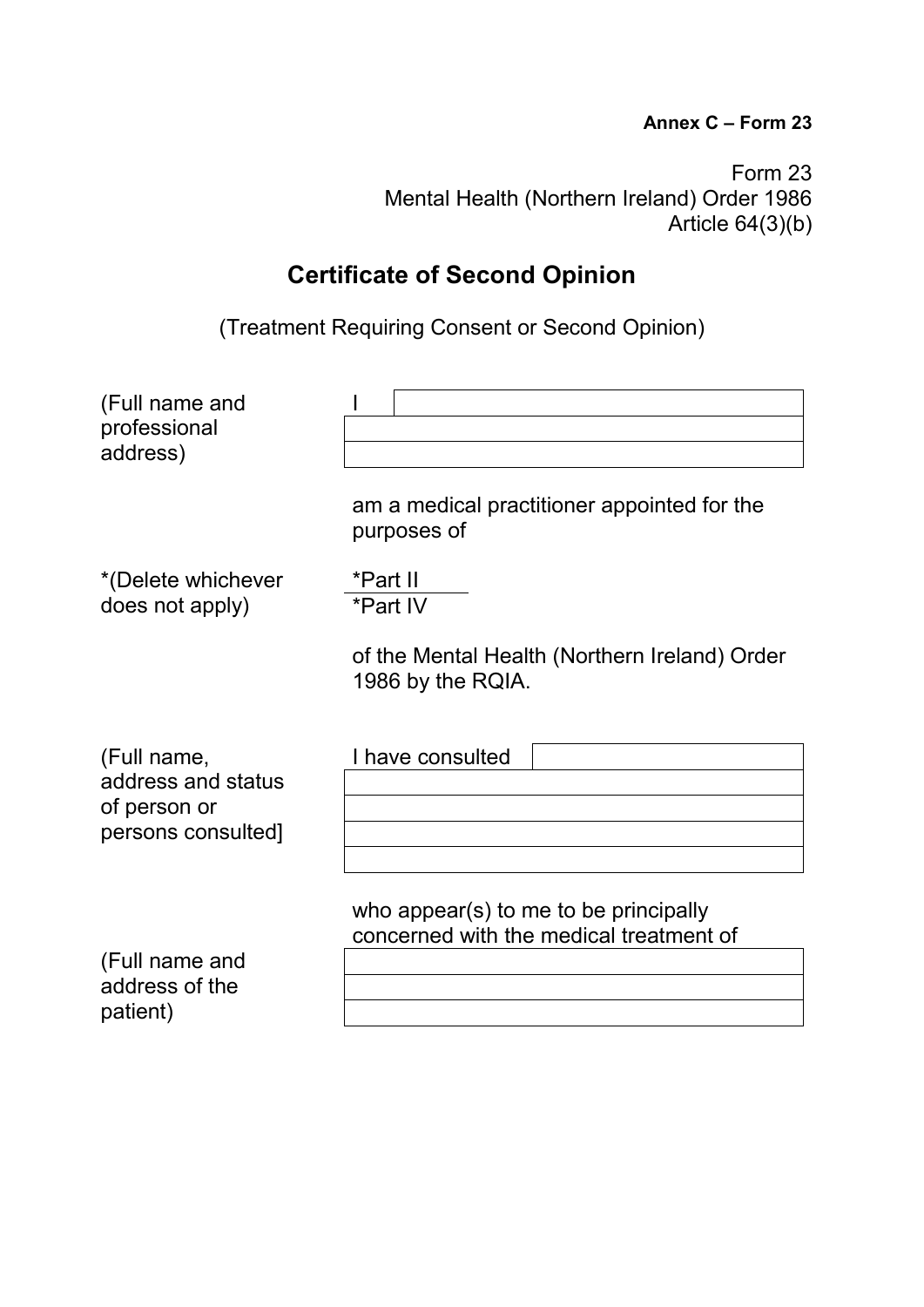### **Annex C – Form 23**

Form 23 Mental Health (Northern Ireland) Order 1986 Article 64(3)(b)

# **Certificate of Second Opinion**

(Treatment Requiring Consent or Second Opinion)

| (Full name and<br>professional<br>address)                              |                                                                                  |
|-------------------------------------------------------------------------|----------------------------------------------------------------------------------|
|                                                                         | am a medical practitioner appointed for the<br>purposes of                       |
| *(Delete whichever<br>does not apply)                                   | *Part II<br>*Part IV                                                             |
|                                                                         | of the Mental Health (Northern Ireland) Order<br>1986 by the RQIA.               |
| (Full name,<br>address and status<br>of person or<br>persons consulted] | I have consulted                                                                 |
| (Full name and<br>address of the<br>patient)                            | who appear(s) to me to be principally<br>concerned with the medical treatment of |